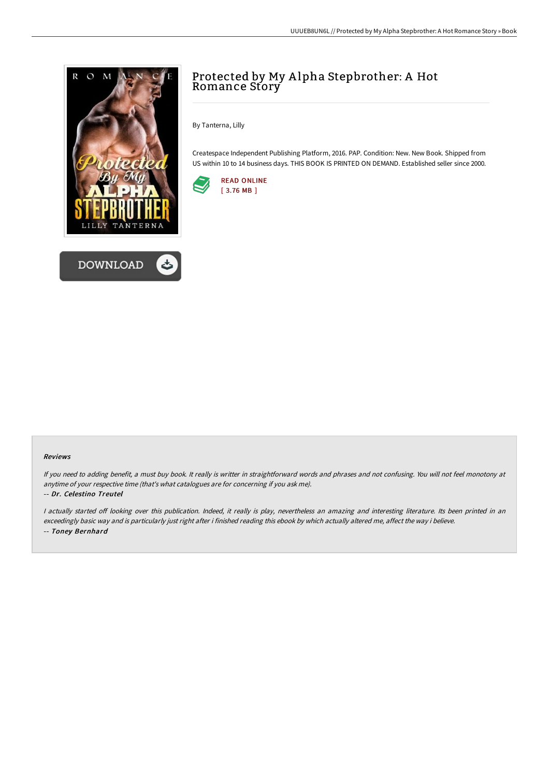

# Protected by My A lpha Stepbrother: A Hot Romance Story

By Tanterna, Lilly

Createspace Independent Publishing Platform, 2016. PAP. Condition: New. New Book. Shipped from US within 10 to 14 business days. THIS BOOK IS PRINTED ON DEMAND. Established seller since 2000.



#### Reviews

If you need to adding benefit, <sup>a</sup> must buy book. It really is writter in straightforward words and phrases and not confusing. You will not feel monotony at anytime of your respective time (that's what catalogues are for concerning if you ask me).

#### -- Dr. Celestino Treutel

I actually started off looking over this publication. Indeed, it really is play, nevertheless an amazing and interesting literature. Its been printed in an exceedingly basic way and is particularly just right after i finished reading this ebook by which actually altered me, affect the way i believe. -- Toney Bernhard